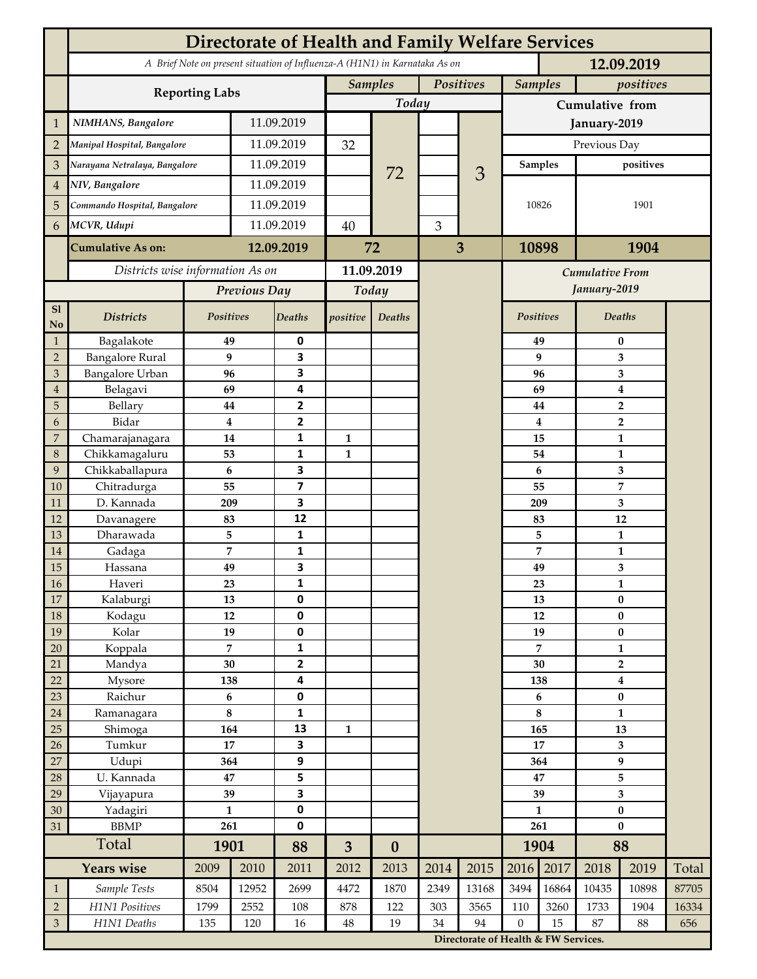|                             | <b>Directorate of Health and Family Welfare Services</b>                                 |                |            |                         |                             |                  |      |                                      |                  |                             |                                           |                |       |  |
|-----------------------------|------------------------------------------------------------------------------------------|----------------|------------|-------------------------|-----------------------------|------------------|------|--------------------------------------|------------------|-----------------------------|-------------------------------------------|----------------|-------|--|
|                             | A Brief Note on present situation of Influenza-A (H1N1) in Karnataka As on<br>12.09.2019 |                |            |                         |                             |                  |      |                                      |                  |                             |                                           |                |       |  |
|                             |                                                                                          |                |            |                         | Positives<br><b>Samples</b> |                  |      |                                      |                  | <b>Samples</b><br>positives |                                           |                |       |  |
|                             | <b>Reporting Labs</b>                                                                    |                |            |                         |                             | Today            |      |                                      | Cumulative from  |                             |                                           |                |       |  |
| $\mathbf{1}$                | NIMHANS, Bangalore                                                                       | 11.09.2019     |            |                         |                             |                  |      | January-2019                         |                  |                             |                                           |                |       |  |
| $\overline{2}$              | Manipal Hospital, Bangalore                                                              |                |            | 11.09.2019              |                             |                  |      |                                      | Previous Day     |                             |                                           |                |       |  |
| 3                           | Narayana Netralaya, Bangalore                                                            |                |            | 11.09.2019              |                             |                  |      |                                      | <b>Samples</b>   |                             | positives                                 |                |       |  |
| $\overline{4}$              | NIV, Bangalore                                                                           |                | 11.09.2019 |                         |                             | 72               |      | 3                                    |                  |                             |                                           |                |       |  |
| 5                           | Commando Hospital, Bangalore                                                             |                | 11.09.2019 |                         |                             |                  |      |                                      | 10826<br>10898   |                             | 1901<br>1904                              |                |       |  |
| 6                           | MCVR, Udupi                                                                              |                | 11.09.2019 |                         | 40                          |                  | 3    |                                      |                  |                             |                                           |                |       |  |
|                             | <b>Cumulative As on:</b>                                                                 |                |            | 12.09.2019              |                             |                  |      | 3                                    |                  |                             |                                           |                |       |  |
|                             |                                                                                          |                |            | 72                      |                             |                  |      |                                      |                  |                             |                                           |                |       |  |
|                             | Districts wise information As on                                                         |                |            | 11.09.2019              |                             |                  |      | <b>Cumulative From</b>               |                  |                             |                                           |                |       |  |
|                             |                                                                                          | Previous Day   |            | Today                   |                             |                  |      |                                      |                  |                             | January-2019                              |                |       |  |
| S1<br>No                    | <b>Districts</b>                                                                         | Positives      |            | Deaths                  | positive                    | Deaths           |      |                                      | <b>Positives</b> |                             |                                           | <b>Deaths</b>  |       |  |
| $\mathbf{1}$                | Bagalakote                                                                               | 49             |            | 0                       |                             |                  |      |                                      | 49               | $\bf{0}$                    |                                           |                |       |  |
| $\overline{2}$              | <b>Bangalore Rural</b>                                                                   | 9              |            | 3                       |                             |                  |      |                                      | 9                | 3                           |                                           |                |       |  |
| 3                           | <b>Bangalore Urban</b>                                                                   | 96             |            | 3                       |                             |                  |      |                                      |                  | 96                          | 3                                         |                |       |  |
| $\overline{4}$<br>5         | Belagavi<br>Bellary                                                                      | 69             |            | 4<br>2                  |                             |                  |      |                                      |                  | 69<br>44                    | $\boldsymbol{4}$                          |                |       |  |
| 6                           | Bidar                                                                                    | 44<br>$\bf{4}$ |            | 2                       |                             |                  |      |                                      |                  |                             | $\overline{\mathbf{2}}$<br>$\overline{2}$ |                |       |  |
| $\overline{7}$              | Chamarajanagara                                                                          | 14             |            | 1                       | $\mathbf{1}$                |                  |      |                                      |                  | 4<br>15<br>$\mathbf{1}$     |                                           |                |       |  |
| 8                           | Chikkamagaluru                                                                           | 53             |            | 1                       | $\mathbf{1}$                |                  |      |                                      |                  | 54                          |                                           | 1              |       |  |
| 9                           | Chikkaballapura                                                                          | 6              |            | 3                       |                             |                  |      |                                      |                  | 6                           |                                           | 3              |       |  |
| 10                          | Chitradurga                                                                              | 55             |            | $\overline{\mathbf{z}}$ |                             |                  |      |                                      | 55               |                             |                                           | $\overline{7}$ |       |  |
| 11                          | D. Kannada                                                                               | 209            |            | 3                       |                             |                  |      |                                      |                  | 209                         | 3                                         |                |       |  |
| 12                          | Davanagere                                                                               | 83             |            | 12                      |                             |                  |      |                                      | 83               |                             |                                           | 12             |       |  |
| 13                          | Dharawada                                                                                | 5              |            | 1                       |                             |                  |      |                                      |                  | 5                           |                                           | 1              |       |  |
| 14                          | Gadaga                                                                                   | 7              |            | 1                       |                             |                  |      |                                      |                  | 7                           |                                           | $\mathbf{1}$   |       |  |
| 15                          | Hassana                                                                                  | 49             |            | 3                       |                             |                  |      |                                      | 49               |                             | 3                                         |                |       |  |
| 16<br>17                    | Haveri<br>Kalaburgi                                                                      | 23<br>13       |            | 1<br>0                  |                             |                  |      |                                      |                  | 23<br>13                    |                                           | 1<br>$\pmb{0}$ |       |  |
| 18                          | Kodagu                                                                                   | $12\,$         |            | 0                       |                             |                  |      |                                      |                  | 12                          |                                           | $\pmb{0}$      |       |  |
| 19                          | Kolar                                                                                    | 19             |            | 0                       |                             |                  |      |                                      |                  | 19                          |                                           | $\bf{0}$       |       |  |
| 20                          | Koppala                                                                                  | $\overline{7}$ |            | 1                       |                             |                  |      |                                      |                  | 7                           |                                           | $\mathbf{1}$   |       |  |
| 21                          | Mandya                                                                                   | 30             |            | $\overline{\mathbf{2}}$ |                             |                  |      |                                      | 30               |                             | $\overline{2}$                            |                |       |  |
| 22                          | Mysore                                                                                   | 138            |            | 4                       |                             |                  |      |                                      |                  | 138                         | $\boldsymbol{4}$                          |                |       |  |
| 23                          | Raichur                                                                                  | $\bf 6$        |            | 0                       |                             |                  |      |                                      | 6                |                             | $\pmb{0}$                                 |                |       |  |
| 24                          | Ramanagara                                                                               | $\bf 8$        |            | 1                       |                             |                  |      |                                      | 8                |                             | $\mathbf{1}$                              |                |       |  |
| 25                          | Shimoga                                                                                  | 164            |            | 13                      | $\mathbf{1}$                |                  |      |                                      | 165              |                             | 13                                        |                |       |  |
| 26<br>27                    | Tumkur                                                                                   | 17<br>364      |            | 3<br>9                  |                             |                  |      |                                      | 17<br>364        |                             | 3<br>$\boldsymbol{9}$                     |                |       |  |
| 28                          | Udupi<br>U. Kannada                                                                      | 47             |            | 5                       |                             |                  |      |                                      | 47               |                             | 5                                         |                |       |  |
| 29                          | Vijayapura                                                                               | 39             |            | 3                       |                             |                  |      |                                      | 39               |                             | 3                                         |                |       |  |
| 30                          | Yadagiri                                                                                 | $\mathbf{1}$   |            | 0                       |                             |                  |      |                                      | $\mathbf{1}$     |                             | $\pmb{0}$                                 |                |       |  |
| 31                          | <b>BBMP</b>                                                                              | 261            |            | 0                       |                             |                  |      |                                      | 261              |                             | $\bf{0}$                                  |                |       |  |
|                             | Total                                                                                    | 1901           |            | 88                      | 3                           | $\boldsymbol{0}$ |      |                                      | 1904             |                             | 88                                        |                |       |  |
|                             | <b>Years wise</b>                                                                        | 2009           | 2010       | 2011                    | 2012                        | 2013             | 2014 | 2015                                 | 2016             | 2017                        | 2018                                      | 2019           | Total |  |
| $\mathbf{1}$                | Sample Tests                                                                             | 8504           | 12952      | 2699                    | 4472                        | 1870             | 2349 | 13168                                | 3494             | 16864                       | 10435                                     | 10898          | 87705 |  |
| $\sqrt{2}$                  | H1N1 Positives                                                                           | 1799           | 2552       | 108                     | 878                         | 122              | 303  | 3565                                 | 110              | 3260                        | 1733                                      | 1904           | 16334 |  |
| $\ensuremath{\mathfrak{Z}}$ | H1N1 Deaths                                                                              | 135            | 120        | 16                      | $48\,$                      | 19               | 34   | 94                                   | $\mathbf{0}$     | 15                          | 87                                        | 88             | 656   |  |
|                             |                                                                                          |                |            |                         |                             |                  |      | Directorate of Health & FW Services. |                  |                             |                                           |                |       |  |